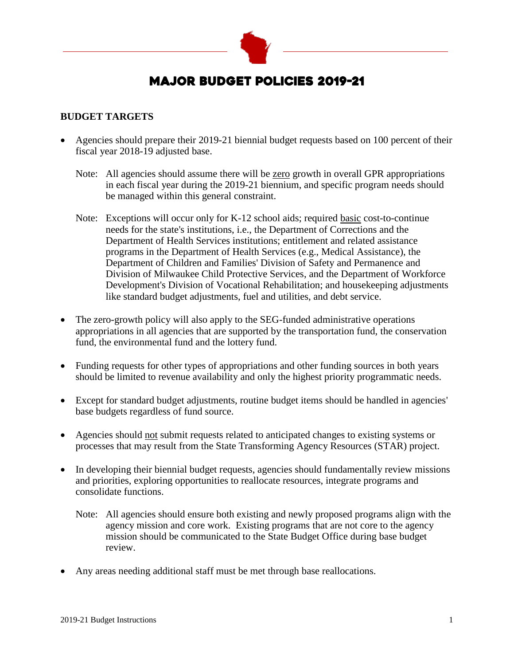

# MAJOR BUDGET POLICIES 2019-21

#### **BUDGET TARGETS**

- Agencies should prepare their 2019-21 biennial budget requests based on 100 percent of their fiscal year 2018-19 adjusted base.
	- Note: All agencies should assume there will be <u>zero</u> growth in overall GPR appropriations in each fiscal year during the 2019-21 biennium, and specific program needs should be managed within this general constraint.
	- Note: Exceptions will occur only for K-12 school aids; required basic cost-to-continue needs for the state's institutions, i.e., the Department of Corrections and the Department of Health Services institutions; entitlement and related assistance programs in the Department of Health Services (e.g., Medical Assistance), the Department of Children and Families' Division of Safety and Permanence and Division of Milwaukee Child Protective Services, and the Department of Workforce Development's Division of Vocational Rehabilitation; and housekeeping adjustments like standard budget adjustments, fuel and utilities, and debt service.
- The zero-growth policy will also apply to the SEG-funded administrative operations appropriations in all agencies that are supported by the transportation fund, the conservation fund, the environmental fund and the lottery fund.
- Funding requests for other types of appropriations and other funding sources in both years should be limited to revenue availability and only the highest priority programmatic needs.
- Except for standard budget adjustments, routine budget items should be handled in agencies' base budgets regardless of fund source.
- Agencies should not submit requests related to anticipated changes to existing systems or processes that may result from the State Transforming Agency Resources (STAR) project.
- In developing their biennial budget requests, agencies should fundamentally review missions and priorities, exploring opportunities to reallocate resources, integrate programs and consolidate functions.
	- Note: All agencies should ensure both existing and newly proposed programs align with the agency mission and core work. Existing programs that are not core to the agency mission should be communicated to the State Budget Office during base budget review.
- Any areas needing additional staff must be met through base reallocations.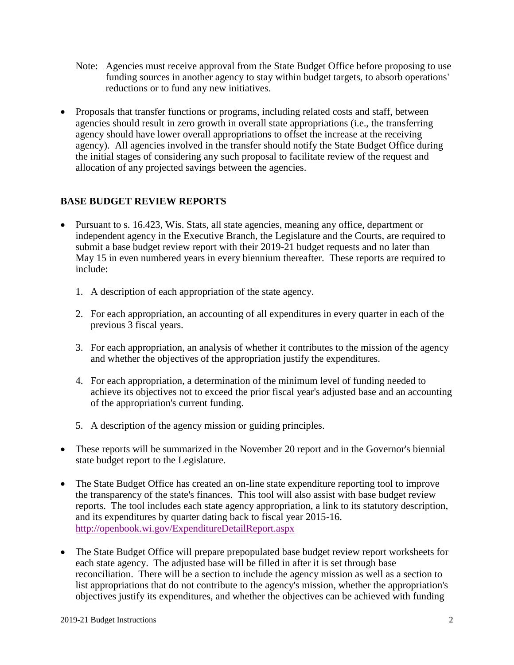- Note: Agencies must receive approval from the State Budget Office before proposing to use funding sources in another agency to stay within budget targets, to absorb operations' reductions or to fund any new initiatives.
- Proposals that transfer functions or programs, including related costs and staff, between agencies should result in zero growth in overall state appropriations (i.e., the transferring agency should have lower overall appropriations to offset the increase at the receiving agency). All agencies involved in the transfer should notify the State Budget Office during the initial stages of considering any such proposal to facilitate review of the request and allocation of any projected savings between the agencies.

# **BASE BUDGET REVIEW REPORTS**

- Pursuant to s. 16.423, Wis. Stats, all state agencies, meaning any office, department or independent agency in the Executive Branch, the Legislature and the Courts, are required to submit a base budget review report with their 2019-21 budget requests and no later than May 15 in even numbered years in every biennium thereafter. These reports are required to include:
	- 1. A description of each appropriation of the state agency.
	- 2. For each appropriation, an accounting of all expenditures in every quarter in each of the previous 3 fiscal years.
	- 3. For each appropriation, an analysis of whether it contributes to the mission of the agency and whether the objectives of the appropriation justify the expenditures.
	- 4. For each appropriation, a determination of the minimum level of funding needed to achieve its objectives not to exceed the prior fiscal year's adjusted base and an accounting of the appropriation's current funding.
	- 5. A description of the agency mission or guiding principles.
- These reports will be summarized in the November 20 report and in the Governor's biennial state budget report to the Legislature.
- The State Budget Office has created an on-line state expenditure reporting tool to improve the transparency of the state's finances. This tool will also assist with base budget review reports. The tool includes each state agency appropriation, a link to its statutory description, and its expenditures by quarter dating back to fiscal year 2015-16. http://openbook.wi.gov/ExpenditureDetailReport.aspx
- The State Budget Office will prepare prepopulated base budget review report worksheets for each state agency. The adjusted base will be filled in after it is set through base reconciliation. There will be a section to include the agency mission as well as a section to list appropriations that do not contribute to the agency's mission, whether the appropriation's objectives justify its expenditures, and whether the objectives can be achieved with funding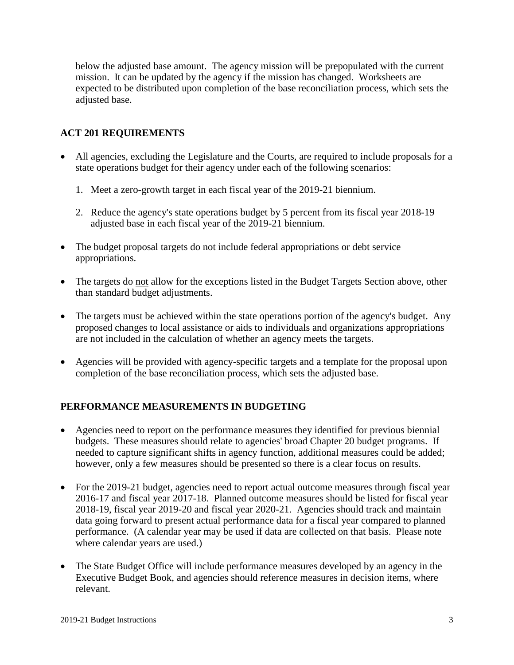below the adjusted base amount. The agency mission will be prepopulated with the current mission. It can be updated by the agency if the mission has changed. Worksheets are expected to be distributed upon completion of the base reconciliation process, which sets the adjusted base.

## **ACT 201 REQUIREMENTS**

- All agencies, excluding the Legislature and the Courts, are required to include proposals for a state operations budget for their agency under each of the following scenarios:
	- 1. Meet a zero-growth target in each fiscal year of the 2019-21 biennium.
	- 2. Reduce the agency's state operations budget by 5 percent from its fiscal year 2018-19 adjusted base in each fiscal year of the 2019-21 biennium.
- The budget proposal targets do not include federal appropriations or debt service appropriations.
- The targets do not allow for the exceptions listed in the Budget Targets Section above, other than standard budget adjustments.
- The targets must be achieved within the state operations portion of the agency's budget. Any proposed changes to local assistance or aids to individuals and organizations appropriations are not included in the calculation of whether an agency meets the targets.
- Agencies will be provided with agency-specific targets and a template for the proposal upon completion of the base reconciliation process, which sets the adjusted base.

## **PERFORMANCE MEASUREMENTS IN BUDGETING**

- Agencies need to report on the performance measures they identified for previous biennial budgets. These measures should relate to agencies' broad Chapter 20 budget programs. If needed to capture significant shifts in agency function, additional measures could be added; however, only a few measures should be presented so there is a clear focus on results.
- For the 2019-21 budget, agencies need to report actual outcome measures through fiscal year 2016-17 and fiscal year 2017-18. Planned outcome measures should be listed for fiscal year 2018-19, fiscal year 2019-20 and fiscal year 2020-21. Agencies should track and maintain data going forward to present actual performance data for a fiscal year compared to planned performance. (A calendar year may be used if data are collected on that basis. Please note where calendar years are used.)
- The State Budget Office will include performance measures developed by an agency in the Executive Budget Book, and agencies should reference measures in decision items, where relevant.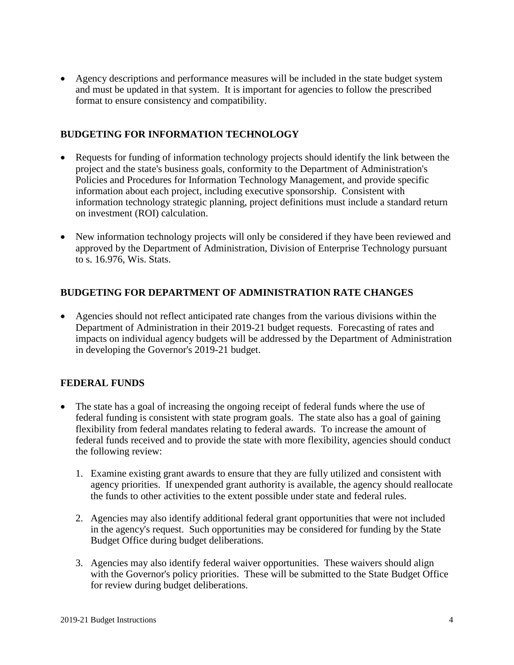• Agency descriptions and performance measures will be included in the state budget system and must be updated in that system. It is important for agencies to follow the prescribed format to ensure consistency and compatibility.

## **BUDGETING FOR INFORMATION TECHNOLOGY**

- Requests for funding of information technology projects should identify the link between the project and the state's business goals, conformity to the Department of Administration's Policies and Procedures for Information Technology Management, and provide specific information about each project, including executive sponsorship. Consistent with information technology strategic planning, project definitions must include a standard return on investment (ROI) calculation.
- New information technology projects will only be considered if they have been reviewed and approved by the Department of Administration, Division of Enterprise Technology pursuant to s. 16.976, Wis. Stats.

# **BUDGETING FOR DEPARTMENT OF ADMINISTRATION RATE CHANGES**

• Agencies should not reflect anticipated rate changes from the various divisions within the Department of Administration in their 2019-21 budget requests. Forecasting of rates and impacts on individual agency budgets will be addressed by the Department of Administration in developing the Governor's 2019-21 budget.

## **FEDERAL FUNDS**

- The state has a goal of increasing the ongoing receipt of federal funds where the use of federal funding is consistent with state program goals. The state also has a goal of gaining flexibility from federal mandates relating to federal awards. To increase the amount of federal funds received and to provide the state with more flexibility, agencies should conduct the following review:
	- 1. Examine existing grant awards to ensure that they are fully utilized and consistent with agency priorities. If unexpended grant authority is available, the agency should reallocate the funds to other activities to the extent possible under state and federal rules.
	- 2. Agencies may also identify additional federal grant opportunities that were not included in the agency's request. Such opportunities may be considered for funding by the State Budget Office during budget deliberations.
	- 3. Agencies may also identify federal waiver opportunities. These waivers should align with the Governor's policy priorities. These will be submitted to the State Budget Office for review during budget deliberations.